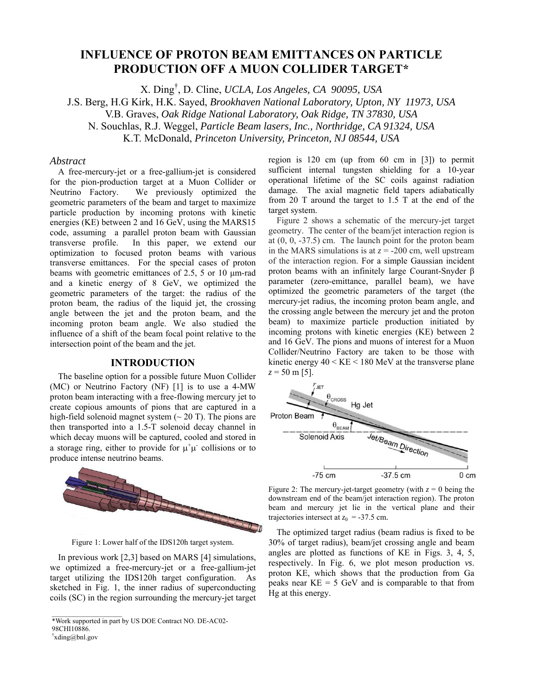# **INFLUENCE OF PROTON BEAM EMITTANCES ON PARTICLE PRODUCTION OFF A MUON COLLIDER TARGET\***

X. Ding† , D. Cline, *UCLA, Los Angeles, CA 90095, USA*

J.S. Berg, H.G Kirk, H.K. Sayed, *Brookhaven National Laboratory, Upton, NY 11973, USA* 

V.B. Graves, *Oak Ridge National Laboratory, Oak Ridge, TN 37830, USA* 

N. Souchlas, R.J. Weggel, *Particle Beam lasers, Inc., Northridge, CA 91324, USA* 

K.T. McDonald, *Princeton University, Princeton, NJ 08544, USA*

### *Abstract*

A free-mercury-jet or a free-gallium-jet is considered for the pion-production target at a Muon Collider or Neutrino Factory. We previously optimized the geometric parameters of the beam and target to maximize particle production by incoming protons with kinetic energies (KE) between 2 and 16 GeV, using the MARS15 code, assuming a parallel proton beam with Gaussian transverse profile. In this paper, we extend our optimization to focused proton beams with various transverse emittances. For the special cases of proton beams with geometric emittances of 2.5, 5 or 10 μm-rad and a kinetic energy of 8 GeV, we optimized the geometric parameters of the target: the radius of the proton beam, the radius of the liquid jet, the crossing angle between the jet and the proton beam, and the incoming proton beam angle. We also studied the influence of a shift of the beam focal point relative to the intersection point of the beam and the jet.

# **INTRODUCTION**

The baseline option for a possible future Muon Collider (MC) or Neutrino Factory (NF) [1] is to use a 4-MW proton beam interacting with a free-flowing mercury jet to create copious amounts of pions that are captured in a high-field solenoid magnet system  $(\sim 20 \text{ T})$ . The pions are then transported into a 1.5-T solenoid decay channel in which decay muons will be captured, cooled and stored in a storage ring, either to provide for  $\mu^+\mu^-$  collisions or to produce intense neutrino beams.



Figure 1: Lower half of the IDS120h target system.

In previous work [2,3] based on MARS [4] simulations, we optimized a free-mercury-jet or a free-gallium-jet target utilizing the IDS120h target configuration. As sketched in Fig. 1, the inner radius of superconducting coils (SC) in the region surrounding the mercury-jet target

 $\frac{1}{2}$  ,  $\frac{1}{2}$  ,  $\frac{1}{2}$  ,  $\frac{1}{2}$  ,  $\frac{1}{2}$  ,  $\frac{1}{2}$  ,  $\frac{1}{2}$  ,  $\frac{1}{2}$  ,  $\frac{1}{2}$ 

region is 120 cm (up from 60 cm in [3]) to permit sufficient internal tungsten shielding for a 10-year operational lifetime of the SC coils against radiation damage. The axial magnetic field tapers adiabatically from 20 T around the target to 1.5 T at the end of the target system.

Figure 2 shows a schematic of the mercury-jet target geometry. The center of the beam/jet interaction region is at (0, 0, -37.5) cm. The launch point for the proton beam in the MARS simulations is at  $z = -200$  cm, well upstream of the interaction region. For a simple Gaussian incident proton beams with an infinitely large Courant-Snyder β parameter (zero-emittance, parallel beam), we have optimized the geometric parameters of the target (the mercury-jet radius, the incoming proton beam angle, and the crossing angle between the mercury jet and the proton beam) to maximize particle production initiated by incoming protons with kinetic energies (KE) between 2 and 16 GeV. The pions and muons of interest for a Muon Collider/Neutrino Factory are taken to be those with kinetic energy  $40 \leq KE \leq 180$  MeV at the transverse plane  $z = 50$  m [5].



Figure 2: The mercury-jet-target geometry (with  $z = 0$  being the downstream end of the beam/jet interaction region). The proton beam and mercury jet lie in the vertical plane and their trajectories intersect at  $z_0$  = -37.5 cm.

The optimized target radius (beam radius is fixed to be 30% of target radius), beam/jet crossing angle and beam angles are plotted as functions of KE in Figs. 3, 4, 5, respectively. In Fig. 6, we plot meson production *vs*. proton KE, which shows that the production from Ga peaks near  $KE = 5$  GeV and is comparable to that from Hg at this energy.

<sup>\*</sup>Work supported in part by US DOE Contract NO. DE-AC02- 98CHI10886.

<sup>†</sup> xding@bnl.gov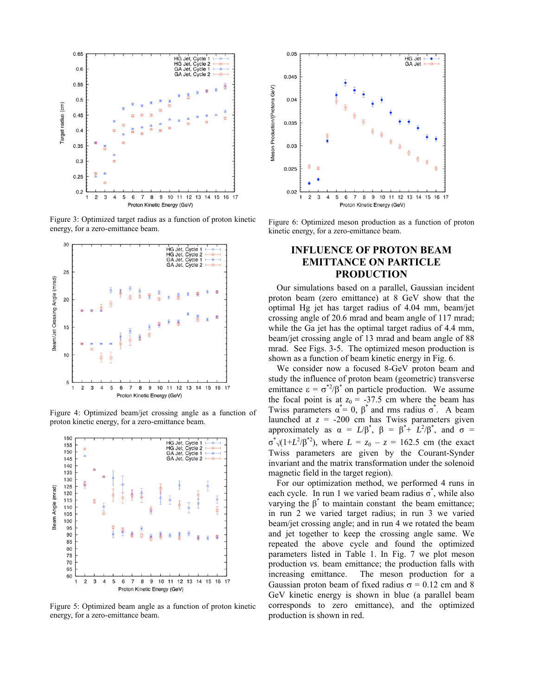

Figure 3: Optimized target radius as a function of proton kinetic energy, for a zero-emittance beam.



Figure 4: Optimized beam/jet crossing angle as a function of proton kinetic energy, for a zero-emittance beam.



Figure 5: Optimized beam angle as a function of proton kinetic energy, for a zero-emittance beam.



Figure 6: Optimized meson production as a function of proton kinetic energy, for a zero-emittance beam.

# **INFLUENCE OF PROTON BEAM EMITTANCE ON PARTICLE PRODUCTION**

Our simulations based on a parallel, Gaussian incident proton beam (zero emittance) at 8 GeV show that the optimal Hg jet has target radius of 4.04 mm, beam/jet crossing angle of 20.6 mrad and beam angle of 117 mrad; while the Ga jet has the optimal target radius of 4.4 mm, beam/jet crossing angle of 13 mrad and beam angle of 88 mrad. See Figs. 3-5. The optimized meson production is shown as a function of beam kinetic energy in Fig. 6.

We consider now a focused 8-GeV proton beam and study the influence of proton beam (geometric) transverse emittance  $\epsilon = \sigma^*{}^2/\beta^*$  on particle production. We assume the focal point is at  $z_0 = -37.5$  cm where the beam has Twiss parameters  $\alpha^* = 0$ ,  $\beta^*$  and rms radius  $\sigma^*$ . A beam launched at  $z = -200$  cm has Twiss parameters given approximately as  $\alpha = L/\beta^*$ ,  $\beta = \beta^* + L^2/\beta^*$ , and  $\sigma =$  $\sigma^*$  (1+*L*<sup>2</sup>/β<sup>\*2</sup>), where *L* = *z*<sub>0</sub> – *z* = 162.5 cm (the exact Twiss parameters are given by the Courant-Synder invariant and the matrix transformation under the solenoid magnetic field in the target region).

For our optimization method, we performed 4 runs in each cycle. In run 1 we varied beam radius  $\sigma^*$ , while also varying the  $β^*$  to maintain constant the beam emittance; in run 2 we varied target radius; in run 3 we varied beam/jet crossing angle; and in run 4 we rotated the beam and jet together to keep the crossing angle same. We repeated the above cycle and found the optimized parameters listed in Table 1. In Fig. 7 we plot meson production *vs*. beam emittance; the production falls with increasing emittance. The meson production for a Gaussian proton beam of fixed radius  $\sigma = 0.12$  cm and 8 GeV kinetic energy is shown in blue (a parallel beam corresponds to zero emittance), and the optimized production is shown in red.